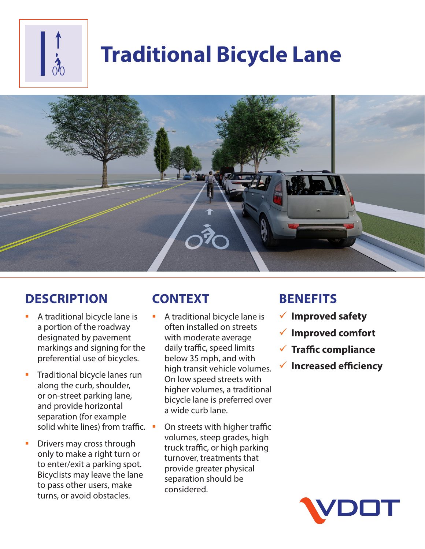

# **Traditional Bicycle Lane**



# **DESCRIPTION**

- A traditional bicycle lane is a portion of the roadway designated by pavement markings and signing for the preferential use of bicycles.
- **Traditional bicycle lanes run** along the curb, shoulder, or on-street parking lane, and provide horizontal separation (for example solid white lines) from traffic.
- Drivers may cross through only to make a right turn or to enter/exit a parking spot. Bicyclists may leave the lane to pass other users, make turns, or avoid obstacles.

# **CONTEXT**

- A traditional bicycle lane is often installed on streets with moderate average daily traffic, speed limits below 35 mph, and with high transit vehicle volumes. On low speed streets with higher volumes, a traditional bicycle lane is preferred over a wide curb lane.
- On streets with higher traffic volumes, steep grades, high truck traffic, or high parking turnover, treatments that provide greater physical separation should be considered.

### **BENEFITS**

- 9 **Improved safety**
- 9 **Improved comfort**
- 9 **Traffic compliance** 
	- 9 **Increased efficiency**